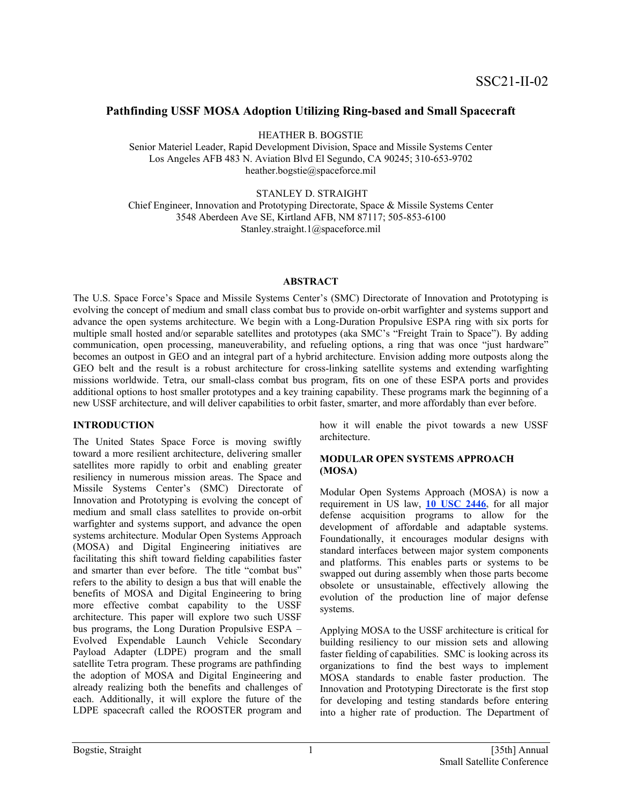# **Pathfinding USSF MOSA Adoption Utilizing Ring-based and Small Spacecraft**

HEATHER B. BOGSTIE

Senior Materiel Leader, Rapid Development Division, Space and Missile Systems Center Los Angeles AFB 483 N. Aviation Blvd El Segundo, CA 90245; 310-653-9702 heather.bogstie@spaceforce.mil

STANLEY D. STRAIGHT

Chief Engineer, Innovation and Prototyping Directorate, Space & Missile Systems Center 3548 Aberdeen Ave SE, Kirtland AFB, NM 87117; 505-853-6100 Stanley.straight.1@spaceforce.mil

### **ABSTRACT**

The U.S. Space Force's Space and Missile Systems Center's (SMC) Directorate of Innovation and Prototyping is evolving the concept of medium and small class combat bus to provide on-orbit warfighter and systems support and advance the open systems architecture. We begin with a Long-Duration Propulsive ESPA ring with six ports for multiple small hosted and/or separable satellites and prototypes (aka SMC's "Freight Train to Space"). By adding communication, open processing, maneuverability, and refueling options, a ring that was once "just hardware" becomes an outpost in GEO and an integral part of a hybrid architecture. Envision adding more outposts along the GEO belt and the result is a robust architecture for cross-linking satellite systems and extending warfighting missions worldwide. Tetra, our small-class combat bus program, fits on one of these ESPA ports and provides additional options to host smaller prototypes and a key training capability. These programs mark the beginning of a new USSF architecture, and will deliver capabilities to orbit faster, smarter, and more affordably than ever before.

### **INTRODUCTION**

The United States Space Force is moving swiftly toward a more resilient architecture, delivering smaller satellites more rapidly to orbit and enabling greater resiliency in numerous mission areas. The Space and Missile Systems Center's (SMC) Directorate of Innovation and Prototyping is evolving the concept of medium and small class satellites to provide on-orbit warfighter and systems support, and advance the open systems architecture. Modular Open Systems Approach (MOSA) and Digital Engineering initiatives are facilitating this shift toward fielding capabilities faster and smarter than ever before. The title "combat bus" refers to the ability to design a bus that will enable the benefits of MOSA and Digital Engineering to bring more effective combat capability to the USSF architecture. This paper will explore two such USSF bus programs, the Long Duration Propulsive ESPA – Evolved Expendable Launch Vehicle Secondary Payload Adapter (LDPE) program and the small satellite Tetra program. These programs are pathfinding the adoption of MOSA and Digital Engineering and already realizing both the benefits and challenges of each. Additionally, it will explore the future of the LDPE spacecraft called the ROOSTER program and

how it will enable the pivot towards a new USSF architecture.

### **MODULAR OPEN SYSTEMS APPROACH (MOSA)**

Modular Open Systems Approach (MOSA) is now a requirement in US law, **10 USC [2446,](https://www.law.cornell.edu/uscode/text/10/subtitle-A/part-IV/chapter-144B/subchapter-I)** for all major defense acquisition programs to allow for the development of affordable and adaptable systems. Foundationally, it encourages modular designs with standard interfaces between major system components and platforms. This enables parts or systems to be swapped out during assembly when those parts become obsolete or unsustainable, effectively allowing the evolution of the production line of major defense systems.

Applying MOSA to the USSF architecture is critical for building resiliency to our mission sets and allowing faster fielding of capabilities. SMC is looking across its organizations to find the best ways to implement MOSA standards to enable faster production. The Innovation and Prototyping Directorate is the first stop for developing and testing standards before entering into a higher rate of production. The Department of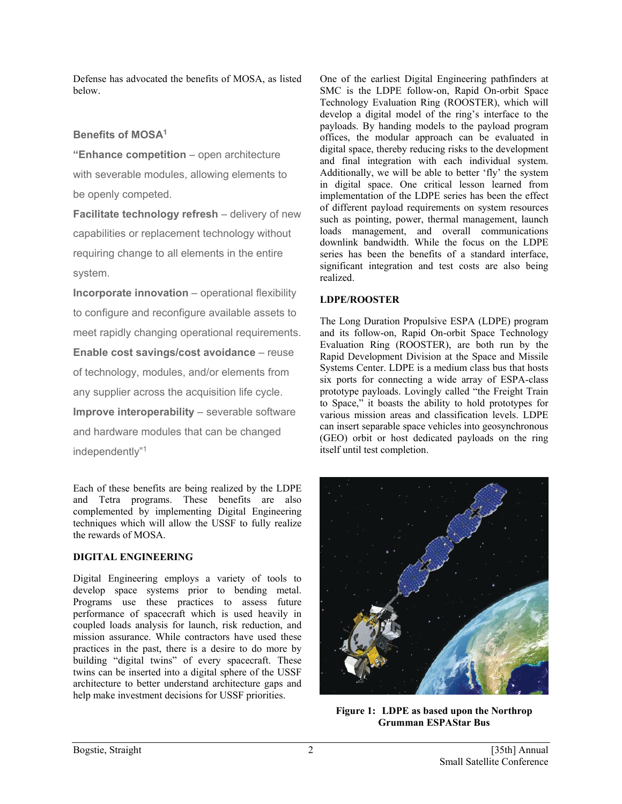Defense has advocated the benefits of MOSA, as listed below.

# **Benefits of MOSA1**

**"Enhance competition** – open architecture with severable modules, allowing elements to be openly competed.

**Facilitate technology refresh** – delivery of new capabilities or replacement technology without requiring change to all elements in the entire system.

**Incorporate innovation** – operational flexibility to configure and reconfigure available assets to meet rapidly changing operational requirements. **Enable cost savings/cost avoidance** – reuse of technology, modules, and/or elements from any supplier across the acquisition life cycle. **Improve interoperability** – severable software and hardware modules that can be changed independently"1

Each of these benefits are being realized by the LDPE and Tetra programs. These benefits are also complemented by implementing Digital Engineering techniques which will allow the USSF to fully realize the rewards of MOSA.

# **DIGITAL ENGINEERING**

Digital Engineering employs a variety of tools to develop space systems prior to bending metal. Programs use these practices to assess future performance of spacecraft which is used heavily in coupled loads analysis for launch, risk reduction, and mission assurance. While contractors have used these practices in the past, there is a desire to do more by building "digital twins" of every spacecraft. These twins can be inserted into a digital sphere of the USSF architecture to better understand architecture gaps and help make investment decisions for USSF priorities.

One of the earliest Digital Engineering pathfinders at SMC is the LDPE follow-on, Rapid On-orbit Space Technology Evaluation Ring (ROOSTER), which will develop a digital model of the ring's interface to the payloads. By handing models to the payload program offices, the modular approach can be evaluated in digital space, thereby reducing risks to the development and final integration with each individual system. Additionally, we will be able to better 'fly' the system in digital space. One critical lesson learned from implementation of the LDPE series has been the effect of different payload requirements on system resources such as pointing, power, thermal management, launch loads management, and overall communications downlink bandwidth. While the focus on the LDPE series has been the benefits of a standard interface, significant integration and test costs are also being realized.

# **LDPE/ROOSTER**

The Long Duration Propulsive ESPA (LDPE) program and its follow-on, Rapid On-orbit Space Technology Evaluation Ring (ROOSTER), are both run by the Rapid Development Division at the Space and Missile Systems Center. LDPE is a medium class bus that hosts six ports for connecting a wide array of ESPA-class prototype payloads. Lovingly called "the Freight Train to Space," it boasts the ability to hold prototypes for various mission areas and classification levels. LDPE can insert separable space vehicles into geosynchronous (GEO) orbit or host dedicated payloads on the ring itself until test completion.



**Figure 1: LDPE as based upon the Northrop Grumman ESPAStar Bus**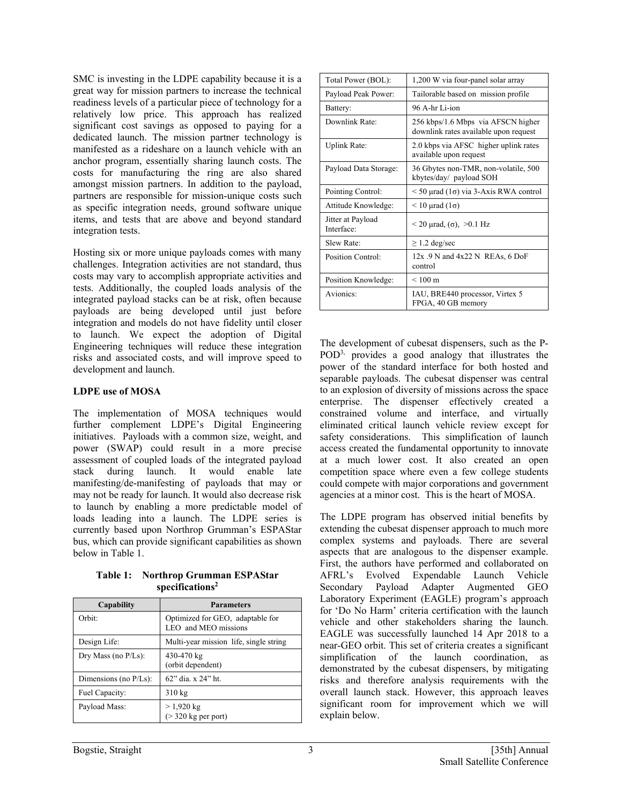SMC is investing in the LDPE capability because it is a great way for mission partners to increase the technical readiness levels of a particular piece of technology for a relatively low price. This approach has realized significant cost savings as opposed to paying for a dedicated launch. The mission partner technology is manifested as a rideshare on a launch vehicle with an anchor program, essentially sharing launch costs. The costs for manufacturing the ring are also shared amongst mission partners. In addition to the payload, partners are responsible for mission-unique costs such as specific integration needs, ground software unique items, and tests that are above and beyond standard integration tests.

Hosting six or more unique payloads comes with many challenges. Integration activities are not standard, thus costs may vary to accomplish appropriate activities and tests. Additionally, the coupled loads analysis of the integrated payload stacks can be at risk, often because payloads are being developed until just before integration and models do not have fidelity until closer to launch. We expect the adoption of Digital Engineering techniques will reduce these integration risks and associated costs, and will improve speed to development and launch.

## **LDPE use of MOSA**

The implementation of MOSA techniques would further complement LDPE's Digital Engineering initiatives. Payloads with a common size, weight, and power (SWAP) could result in a more precise assessment of coupled loads of the integrated payload stack during launch. It would enable late manifesting/de-manifesting of payloads that may or may not be ready for launch. It would also decrease risk to launch by enabling a more predictable model of loads leading into a launch. The LDPE series is currently based upon Northrop Grumman's ESPAStar bus, which can provide significant capabilities as shown below in Table 1.

**Table 1: Northrop Grumman ESPAStar specifications2**

| Capability               | <b>Parameters</b>                                        |
|--------------------------|----------------------------------------------------------|
| Orbit:                   | Optimized for GEO, adaptable for<br>LEO and MEO missions |
| Design Life:             | Multi-year mission life, single string                   |
| Dry Mass (no P/Ls):      | 430-470 kg<br>(orbit dependent)                          |
| Dimensions (no $P/Ls$ ): | 62" dia. x 24" ht.                                       |
| Fuel Capacity:           | $310 \text{ kg}$                                         |
| Payload Mass:            | $> 1,920$ kg<br>$($ > 320 kg per port)                   |

| Total Power (BOL):              | 1,200 W via four-panel solar array                                          |
|---------------------------------|-----------------------------------------------------------------------------|
| Payload Peak Power:             | Tailorable based on mission profile                                         |
| Battery:                        | 96 A-hr Li-ion                                                              |
| Downlink Rate:                  | 256 kbps/1.6 Mbps via AFSCN higher<br>downlink rates available upon request |
| Uplink Rate:                    | 2.0 kbps via AFSC higher uplink rates<br>available upon request             |
| Payload Data Storage:           | 36 Gbytes non-TMR, non-volatile, 500<br>kbytes/day/ payload SOH             |
| Pointing Control:               | $\leq$ 50 µrad (1 $\sigma$ ) via 3-Axis RWA control                         |
| Attitude Knowledge:             | $\leq 10$ µrad (1 $\sigma$ )                                                |
| Jitter at Payload<br>Interface: | $<$ 20 µrad, ( $\sigma$ ), $>$ 0.1 Hz                                       |
| Slew Rate:                      | $\geq$ 1.2 deg/sec                                                          |
| Position Control:               | $12x.9$ N and $4x22$ N REAs, 6 DoF<br>control                               |
| Position Knowledge:             | $< 100 \text{ m}$                                                           |
| Avionics:                       | IAU, BRE440 processor, Virtex 5<br>FPGA, 40 GB memory                       |

The development of cubesat dispensers, such as the P-POD3, provides a good analogy that illustrates the power of the standard interface for both hosted and separable payloads. The cubesat dispenser was central to an explosion of diversity of missions across the space enterprise. The dispenser effectively created a constrained volume and interface, and virtually eliminated critical launch vehicle review except for safety considerations. This simplification of launch access created the fundamental opportunity to innovate at a much lower cost. It also created an open competition space where even a few college students could compete with major corporations and government agencies at a minor cost. This is the heart of MOSA.

The LDPE program has observed initial benefits by extending the cubesat dispenser approach to much more complex systems and payloads. There are several aspects that are analogous to the dispenser example. First, the authors have performed and collaborated on AFRL's Evolved Expendable Launch Vehicle Secondary Payload Adapter Augmented GEO Laboratory Experiment (EAGLE) program's approach for 'Do No Harm' criteria certification with the launch vehicle and other stakeholders sharing the launch. EAGLE was successfully launched 14 Apr 2018 to a near-GEO orbit. This set of criteria creates a significant simplification of the launch coordination, as demonstrated by the cubesat dispensers, by mitigating risks and therefore analysis requirements with the overall launch stack. However, this approach leaves significant room for improvement which we will explain below.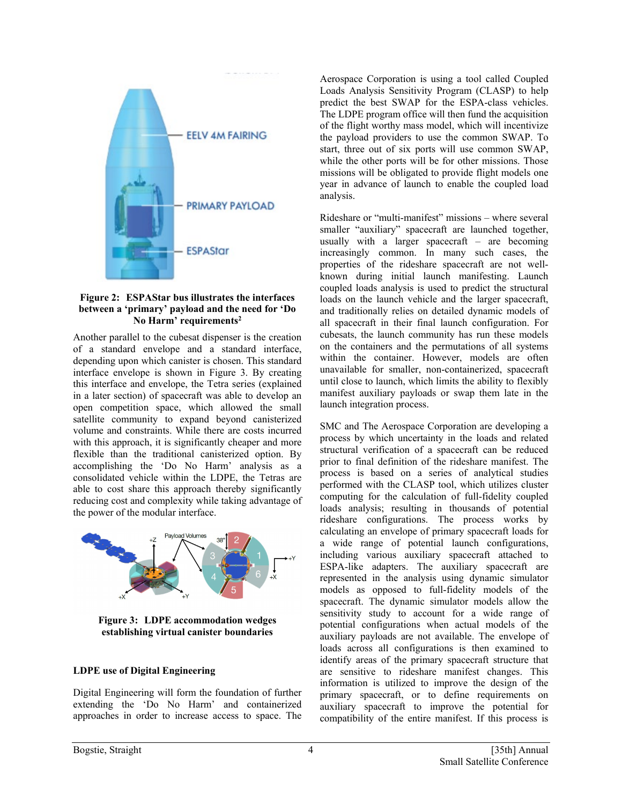

#### **Figure 2: ESPAStar bus illustrates the interfaces between a 'primary' payload and the need for 'Do No Harm' requirements2**

Another parallel to the cubesat dispenser is the creation of a standard envelope and a standard interface, depending upon which canister is chosen. This standard interface envelope is shown in Figure 3. By creating this interface and envelope, the Tetra series (explained in a later section) of spacecraft was able to develop an open competition space, which allowed the small satellite community to expand beyond canisterized volume and constraints. While there are costs incurred with this approach, it is significantly cheaper and more flexible than the traditional canisterized option. By accomplishing the 'Do No Harm' analysis as a consolidated vehicle within the LDPE, the Tetras are able to cost share this approach thereby significantly reducing cost and complexity while taking advantage of the power of the modular interface.



**Figure 3: LDPE accommodation wedges establishing virtual canister boundaries**

### **LDPE use of Digital Engineering**

Digital Engineering will form the foundation of further extending the 'Do No Harm' and containerized approaches in order to increase access to space. The

Aerospace Corporation is using a tool called Coupled Loads Analysis Sensitivity Program (CLASP) to help predict the best SWAP for the ESPA-class vehicles. The LDPE program office will then fund the acquisition of the flight worthy mass model, which will incentivize the payload providers to use the common SWAP. To start, three out of six ports will use common SWAP, while the other ports will be for other missions. Those missions will be obligated to provide flight models one year in advance of launch to enable the coupled load analysis.

Rideshare or "multi-manifest" missions – where several smaller "auxiliary" spacecraft are launched together, usually with a larger spacecraft – are becoming increasingly common. In many such cases, the properties of the rideshare spacecraft are not wellknown during initial launch manifesting. Launch coupled loads analysis is used to predict the structural loads on the launch vehicle and the larger spacecraft, and traditionally relies on detailed dynamic models of all spacecraft in their final launch configuration. For cubesats, the launch community has run these models on the containers and the permutations of all systems within the container. However, models are often unavailable for smaller, non-containerized, spacecraft until close to launch, which limits the ability to flexibly manifest auxiliary payloads or swap them late in the launch integration process.

SMC and The Aerospace Corporation are developing a process by which uncertainty in the loads and related structural verification of a spacecraft can be reduced prior to final definition of the rideshare manifest. The process is based on a series of analytical studies performed with the CLASP tool, which utilizes cluster computing for the calculation of full-fidelity coupled loads analysis; resulting in thousands of potential rideshare configurations. The process works by calculating an envelope of primary spacecraft loads for a wide range of potential launch configurations, including various auxiliary spacecraft attached to ESPA-like adapters. The auxiliary spacecraft are represented in the analysis using dynamic simulator models as opposed to full-fidelity models of the spacecraft. The dynamic simulator models allow the sensitivity study to account for a wide range of potential configurations when actual models of the auxiliary payloads are not available. The envelope of loads across all configurations is then examined to identify areas of the primary spacecraft structure that are sensitive to rideshare manifest changes. This information is utilized to improve the design of the primary spacecraft, or to define requirements on auxiliary spacecraft to improve the potential for compatibility of the entire manifest. If this process is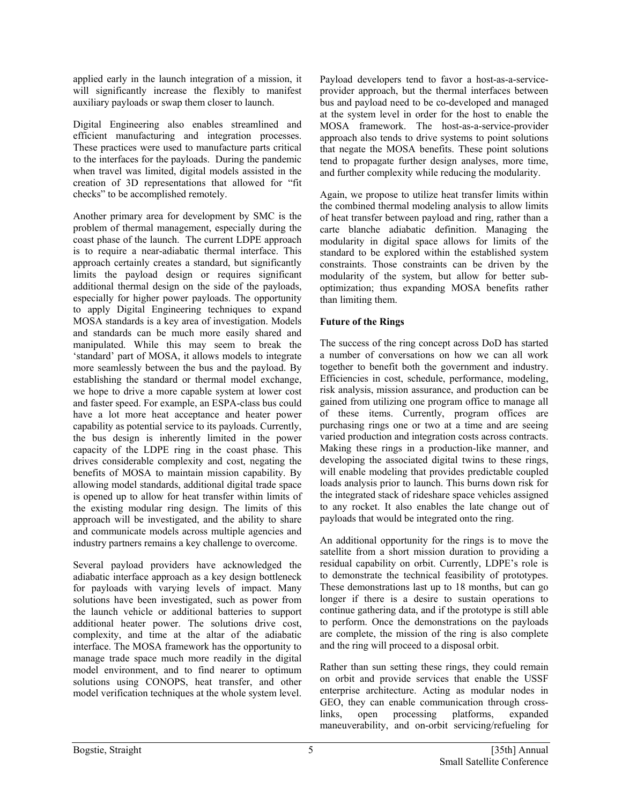applied early in the launch integration of a mission, it will significantly increase the flexibly to manifest auxiliary payloads or swap them closer to launch.

Digital Engineering also enables streamlined and efficient manufacturing and integration processes. These practices were used to manufacture parts critical to the interfaces for the payloads. During the pandemic when travel was limited, digital models assisted in the creation of 3D representations that allowed for "fit checks" to be accomplished remotely.

Another primary area for development by SMC is the problem of thermal management, especially during the coast phase of the launch. The current LDPE approach is to require a near-adiabatic thermal interface. This approach certainly creates a standard, but significantly limits the payload design or requires significant additional thermal design on the side of the payloads, especially for higher power payloads. The opportunity to apply Digital Engineering techniques to expand MOSA standards is a key area of investigation. Models and standards can be much more easily shared and manipulated. While this may seem to break the 'standard' part of MOSA, it allows models to integrate more seamlessly between the bus and the payload. By establishing the standard or thermal model exchange, we hope to drive a more capable system at lower cost and faster speed. For example, an ESPA-class bus could have a lot more heat acceptance and heater power capability as potential service to its payloads. Currently, the bus design is inherently limited in the power capacity of the LDPE ring in the coast phase. This drives considerable complexity and cost, negating the benefits of MOSA to maintain mission capability. By allowing model standards, additional digital trade space is opened up to allow for heat transfer within limits of the existing modular ring design. The limits of this approach will be investigated, and the ability to share and communicate models across multiple agencies and industry partners remains a key challenge to overcome.

Several payload providers have acknowledged the adiabatic interface approach as a key design bottleneck for payloads with varying levels of impact. Many solutions have been investigated, such as power from the launch vehicle or additional batteries to support additional heater power. The solutions drive cost, complexity, and time at the altar of the adiabatic interface. The MOSA framework has the opportunity to manage trade space much more readily in the digital model environment, and to find nearer to optimum solutions using CONOPS, heat transfer, and other model verification techniques at the whole system level.

Payload developers tend to favor a host-as-a-serviceprovider approach, but the thermal interfaces between bus and payload need to be co-developed and managed at the system level in order for the host to enable the MOSA framework. The host-as-a-service-provider approach also tends to drive systems to point solutions that negate the MOSA benefits. These point solutions tend to propagate further design analyses, more time, and further complexity while reducing the modularity.

Again, we propose to utilize heat transfer limits within the combined thermal modeling analysis to allow limits of heat transfer between payload and ring, rather than a carte blanche adiabatic definition. Managing the modularity in digital space allows for limits of the standard to be explored within the established system constraints. Those constraints can be driven by the modularity of the system, but allow for better suboptimization; thus expanding MOSA benefits rather than limiting them.

## **Future of the Rings**

The success of the ring concept across DoD has started a number of conversations on how we can all work together to benefit both the government and industry. Efficiencies in cost, schedule, performance, modeling, risk analysis, mission assurance, and production can be gained from utilizing one program office to manage all of these items. Currently, program offices are purchasing rings one or two at a time and are seeing varied production and integration costs across contracts. Making these rings in a production-like manner, and developing the associated digital twins to these rings, will enable modeling that provides predictable coupled loads analysis prior to launch. This burns down risk for the integrated stack of rideshare space vehicles assigned to any rocket. It also enables the late change out of payloads that would be integrated onto the ring.

An additional opportunity for the rings is to move the satellite from a short mission duration to providing a residual capability on orbit. Currently, LDPE's role is to demonstrate the technical feasibility of prototypes. These demonstrations last up to 18 months, but can go longer if there is a desire to sustain operations to continue gathering data, and if the prototype is still able to perform. Once the demonstrations on the payloads are complete, the mission of the ring is also complete and the ring will proceed to a disposal orbit.

Rather than sun setting these rings, they could remain on orbit and provide services that enable the USSF enterprise architecture. Acting as modular nodes in GEO, they can enable communication through crosslinks, open processing platforms, expanded maneuverability, and on-orbit servicing/refueling for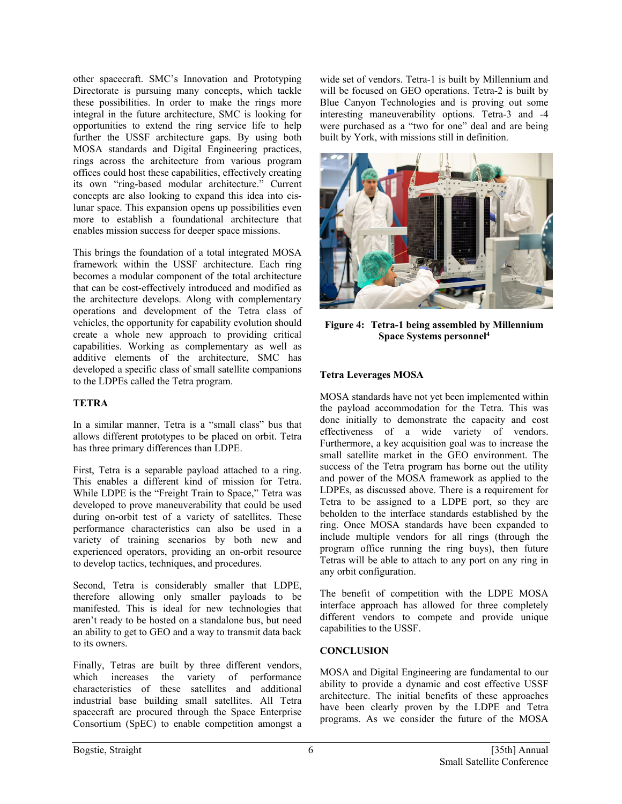other spacecraft. SMC's Innovation and Prototyping Directorate is pursuing many concepts, which tackle these possibilities. In order to make the rings more integral in the future architecture, SMC is looking for opportunities to extend the ring service life to help further the USSF architecture gaps. By using both MOSA standards and Digital Engineering practices, rings across the architecture from various program offices could host these capabilities, effectively creating its own "ring-based modular architecture." Current concepts are also looking to expand this idea into cislunar space. This expansion opens up possibilities even more to establish a foundational architecture that enables mission success for deeper space missions.

This brings the foundation of a total integrated MOSA framework within the USSF architecture. Each ring becomes a modular component of the total architecture that can be cost-effectively introduced and modified as the architecture develops. Along with complementary operations and development of the Tetra class of vehicles, the opportunity for capability evolution should create a whole new approach to providing critical capabilities. Working as complementary as well as additive elements of the architecture, SMC has developed a specific class of small satellite companions to the LDPEs called the Tetra program.

### **TETRA**

In a similar manner, Tetra is a "small class" bus that allows different prototypes to be placed on orbit. Tetra has three primary differences than LDPE.

First, Tetra is a separable payload attached to a ring. This enables a different kind of mission for Tetra. While LDPE is the "Freight Train to Space," Tetra was developed to prove maneuverability that could be used during on-orbit test of a variety of satellites. These performance characteristics can also be used in a variety of training scenarios by both new and experienced operators, providing an on-orbit resource to develop tactics, techniques, and procedures.

Second, Tetra is considerably smaller that LDPE, therefore allowing only smaller payloads to be manifested. This is ideal for new technologies that aren't ready to be hosted on a standalone bus, but need an ability to get to GEO and a way to transmit data back to its owners.

Finally, Tetras are built by three different vendors, which increases the variety of performance characteristics of these satellites and additional industrial base building small satellites. All Tetra spacecraft are procured through the Space Enterprise Consortium (SpEC) to enable competition amongst a

wide set of vendors. Tetra-1 is built by Millennium and will be focused on GEO operations. Tetra-2 is built by Blue Canyon Technologies and is proving out some interesting maneuverability options. Tetra-3 and -4 were purchased as a "two for one" deal and are being built by York, with missions still in definition.



**Figure 4: Tetra-1 being assembled by Millennium Space Systems personnel4**

## **Tetra Leverages MOSA**

MOSA standards have not yet been implemented within the payload accommodation for the Tetra. This was done initially to demonstrate the capacity and cost effectiveness of a wide variety of vendors. Furthermore, a key acquisition goal was to increase the small satellite market in the GEO environment. The success of the Tetra program has borne out the utility and power of the MOSA framework as applied to the LDPEs, as discussed above. There is a requirement for Tetra to be assigned to a LDPE port, so they are beholden to the interface standards established by the ring. Once MOSA standards have been expanded to include multiple vendors for all rings (through the program office running the ring buys), then future Tetras will be able to attach to any port on any ring in any orbit configuration.

The benefit of competition with the LDPE MOSA interface approach has allowed for three completely different vendors to compete and provide unique capabilities to the USSF.

# **CONCLUSION**

MOSA and Digital Engineering are fundamental to our ability to provide a dynamic and cost effective USSF architecture. The initial benefits of these approaches have been clearly proven by the LDPE and Tetra programs. As we consider the future of the MOSA